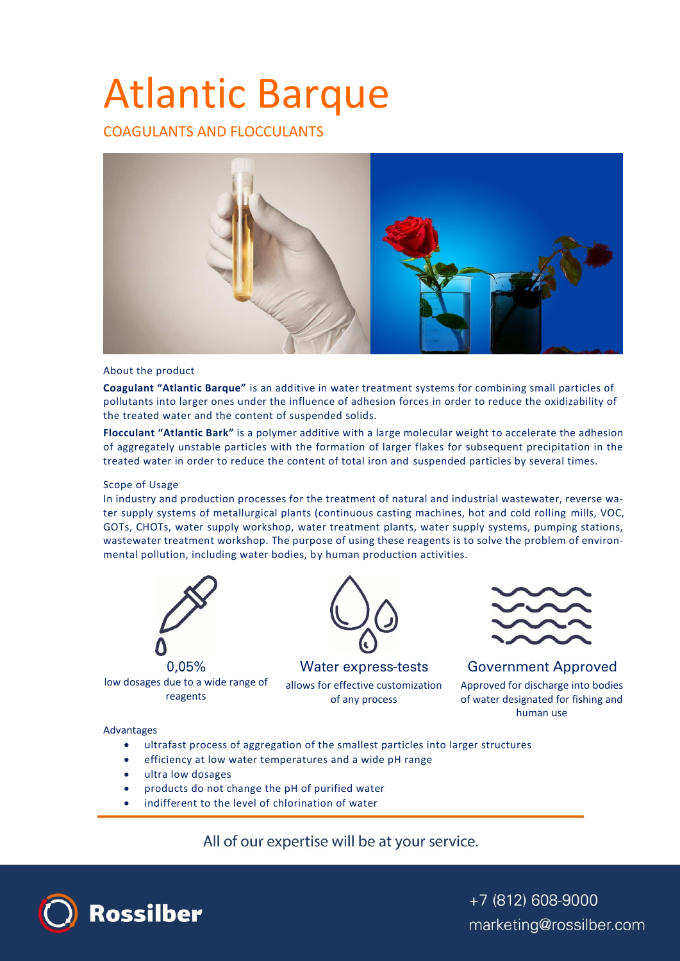# Atlantic Barque

COAGULANTS AND FLOCCULANTS



## About the product

**Coagulant "Atlantic Barque"** is an additive in water treatment systems for combining small particles of pollutants into larger ones under the influence of adhesion forces in order to reduce the oxidizability of the treated water and the content of suspended solids.

**Flocculant "Atlantic Bark"** is a polymer additive with a large molecular weight to accelerate the adhesion of aggregately unstable particles with the formation of larger flakes for subsequent precipitation in the treated water in order to reduce the content of total iron and suspended particles by several times.

# Scope of Usage

In industry and production processes for the treatment of natural and industrial wastewater, reverse water supply systems of metallurgical plants (continuous casting machines, hot and cold rolling mills, VOC, GOTs, CHOTs, water supply workshop, water treatment plants, water supply systems, pumping stations, wastewater treatment workshop. The purpose of using these reagents is to solve the problem of environmental pollution, including water bodies, by human production activities.



0,05% low dosages due to a wide range of reagents

## Advantages

- ultrafast process of aggregation of the smallest particles into larger structures
- efficiency at low water temperatures and a wide pH range
- ultra low dosages
- products do not change the pH of purified water
- indifferent to the level of chlorination of water

All of our expertise will be at your service.



+7 (812) 608-9000 marketing@rossilber.com



Water express-tests allows for effective customization of any process



**Government Approved** Approved for discharge into bodies of water designated for fishing and human use